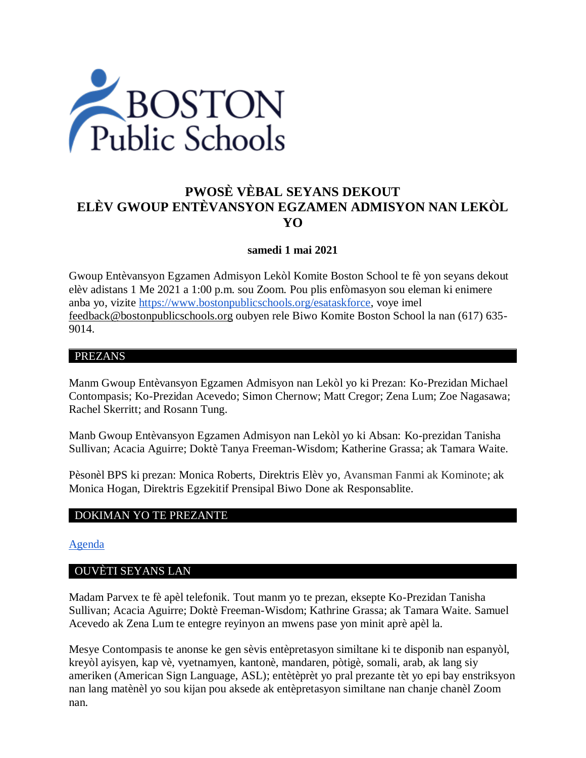

# **PWOSÈ VÈBAL SEYANS DEKOUT ELÈV GWOUP ENTÈVANSYON EGZAMEN ADMISYON NAN LEKÒL YO**

#### **samedi 1 mai 2021**

Gwoup Entèvansyon Egzamen Admisyon Lekòl Komite Boston School te fè yon seyans dekout elèv adistans 1 Me 2021 a 1:00 p.m. sou Zoom. Pou plis enfòmasyon sou eleman ki enimere anba yo, vizite [https://www.bostonpublicschools.org/esataskforce,](https://www.bostonpublicschools.org/esataskforce) voye imel [feedback@bostonpublicschools.org](mailto:feedback@bostonpublicschools.org) oubyen rele Biwo Komite Boston School la nan (617) 635- 9014.

#### PREZANS

Manm Gwoup Entèvansyon Egzamen Admisyon nan Lekòl yo ki Prezan: Ko-Prezidan Michael Contompasis; Ko-Prezidan Acevedo; Simon Chernow; Matt Cregor; Zena Lum; Zoe Nagasawa; Rachel Skerritt; and Rosann Tung.

Manb Gwoup Entèvansyon Egzamen Admisyon nan Lekòl yo ki Absan: Ko-prezidan Tanisha Sullivan; Acacia Aguirre; Doktè Tanya Freeman-Wisdom; Katherine Grassa; ak Tamara Waite.

Pèsonèl BPS ki prezan: Monica Roberts, Direktris Elèv yo, Avansman Fanmi ak Kominote; ak Monica Hogan, Direktris Egzekitif Prensipal Biwo Done ak Responsablite.

#### DOKIMAN YO TE PREZANTE

#### [Agenda](https://www.boston.gov/public-notices/15000906)

#### OUVÈTI SEYANS LAN

Madam Parvex te fè apèl telefonik. Tout manm yo te prezan, eksepte Ko-Prezidan Tanisha Sullivan; Acacia Aguirre; Doktè Freeman-Wisdom; Kathrine Grassa; ak Tamara Waite. Samuel Acevedo ak Zena Lum te entegre reyinyon an mwens pase yon minit aprè apèl la.

Mesye Contompasis te anonse ke gen sèvis entèpretasyon similtane ki te disponib nan espanyòl, kreyòl ayisyen, kap vè, vyetnamyen, kantonè, mandaren, pòtigè, somali, arab, ak lang siy ameriken (American Sign Language, ASL); entètèprèt yo pral prezante tèt yo epi bay enstriksyon nan lang matènèl yo sou kijan pou aksede ak entèpretasyon similtane nan chanje chanèl Zoom nan.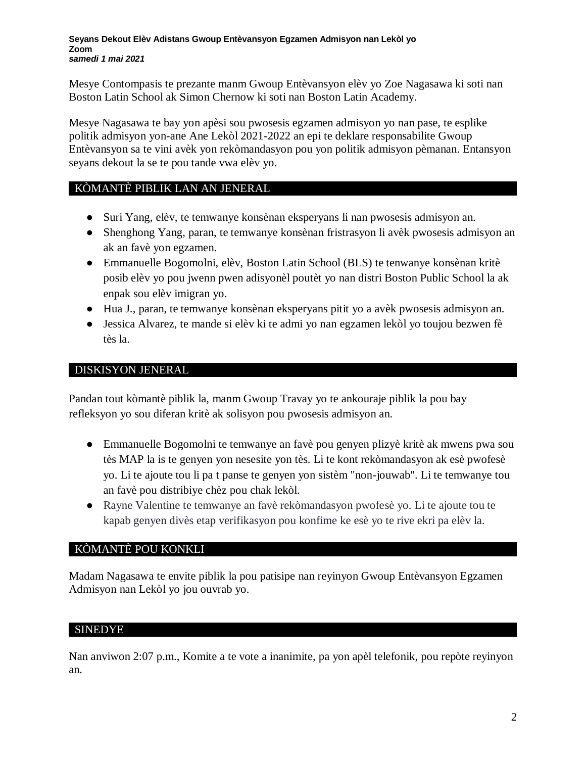Mesye Contompasis te prezante manm Gwoup Entèvansyon elèv yo Zoe Nagasawa ki soti nan Boston Latin School ak Simon Chernow ki soti nan Boston Latin Academy.

Mesye Nagasawa te bay yon apèsi sou pwosesis egzamen admisyon yo nan pase, te esplike politik admisyon yon-ane Ane Lekòl 2021-2022 an epi te deklare responsabilite Gwoup Entèvansyon sa te vini avèk yon rekòmandasyon pou yon politik admisyon pèmanan. Entansyon seyans dekout la se te pou tande vwa elèv yo.

# KÒMANTÈ PIBLIK LAN AN JENERAL

- Suri Yang, elèv, te temwanye konsènan eksperyans li nan pwosesis admisyon an.
- Shenghong Yang, paran, te temwanye konsènan fristrasyon li avèk pwosesis admisyon an ak an favè yon egzamen.
- Emmanuelle Bogomolni, elèv, Boston Latin School (BLS) te tenwanye konsènan kritè posib elèv yo pou jwenn pwen adisyonèl poutèt yo nan distri Boston Public School la ak enpak sou elèv imigran yo.
- Hua J., paran, te temwanye konsènan eksperyans pitit yo a avèk pwosesis admisyon an.
- Jessica Alvarez, te mande si elèv ki te admi yo nan egzamen lekòl yo toujou bezwen fè tès la.

# DISKISYON JENERAL

Pandan tout kòmantè piblik la, manm Gwoup Travay yo te ankouraje piblik la pou bay refleksyon yo sou diferan kritè ak solisyon pou pwosesis admisyon an.

- Emmanuelle Bogomolni te temwanye an favè pou genyen plizyè kritè ak mwens pwa sou tès MAP la is te genyen yon nesesite yon tès. Li te kont rekòmandasyon ak esè pwofesè yo. Li te ajoute tou li pa t panse te genyen yon sistèm "non-jouwab". Li te temwanye tou an favè pou distribiye chèz pou chak lekòl.
- Rayne Valentine te temwanye an favè rekòmandasyon pwofesè yo. Li te ajoute tou te kapab genyen divès etap verifikasyon pou konfime ke esè yo te rive ekri pa elèv la.

# KÒMANTÈ POU KONKLI

Madam Nagasawa te envite piblik la pou patisipe nan reyinyon Gwoup Entèvansyon Egzamen Admisyon nan Lekòl yo jou ouvrab yo.

# SINEDYE

Nan anviwon 2:07 p.m., Komite a te vote a inanimite, pa yon apèl telefonik, pou repòte reyinyon an.